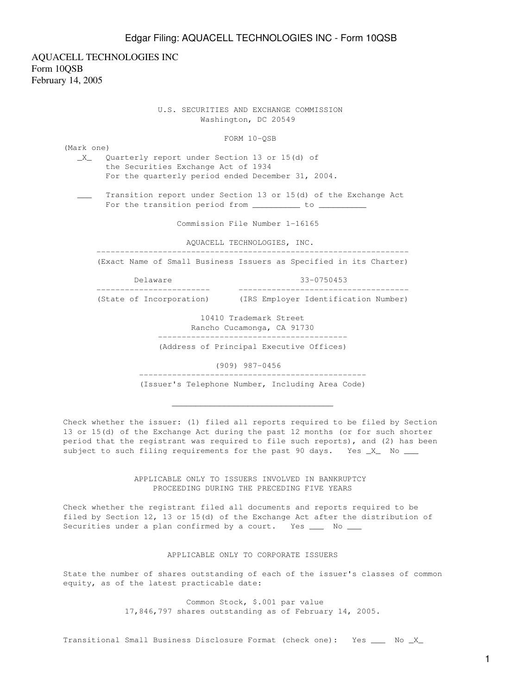AQUACELL TECHNOLOGIES INC Form 10QSB February 14, 2005

> U.S. SECURITIES AND EXCHANGE COMMISSION Washington, DC 20549

> > FORM 10-QSB

(Mark one) \_X\_ Quarterly report under Section 13 or 15(d) of the Securities Exchange Act of 1934 For the quarterly period ended December 31, 2004. \_\_\_ Transition report under Section 13 or 15(d) of the Exchange Act For the transition period from \_\_\_\_\_\_\_\_\_\_\_ to \_\_\_\_ Commission File Number 1-16165 AQUACELL TECHNOLOGIES, INC. ------------------------------------------------------------------ (Exact Name of Small Business Issuers as Specified in its Charter) Delaware 33-0750453 ------------------------ ------------------------------------ (State of Incorporation) (IRS Employer Identification Number) 10410 Trademark Street Rancho Cucamonga, CA 91730 ----------------------------------------

(Address of Principal Executive Offices)

(909) 987-0456

------------------------------------------------

(Issuer's Telephone Number, Including Area Code)

 $\overline{\phantom{a}}$  ,  $\overline{\phantom{a}}$  ,  $\overline{\phantom{a}}$  ,  $\overline{\phantom{a}}$  ,  $\overline{\phantom{a}}$  ,  $\overline{\phantom{a}}$  ,  $\overline{\phantom{a}}$  ,  $\overline{\phantom{a}}$  ,  $\overline{\phantom{a}}$  ,  $\overline{\phantom{a}}$  ,  $\overline{\phantom{a}}$  ,  $\overline{\phantom{a}}$  ,  $\overline{\phantom{a}}$  ,  $\overline{\phantom{a}}$  ,  $\overline{\phantom{a}}$  ,  $\overline{\phantom{a}}$ 

Check whether the issuer: (1) filed all reports required to be filed by Section 13 or 15(d) of the Exchange Act during the past 12 months (or for such shorter period that the registrant was required to file such reports), and (2) has been subject to such filing requirements for the past 90 days. Yes \_X\_ No \_\_\_

> APPLICABLE ONLY TO ISSUERS INVOLVED IN BANKRUPTCY PROCEEDING DURING THE PRECEDING FIVE YEARS

Check whether the registrant filed all documents and reports required to be filed by Section 12, 13 or 15(d) of the Exchange Act after the distribution of Securities under a plan confirmed by a court. Yes \_\_\_ No \_\_

#### APPLICABLE ONLY TO CORPORATE ISSUERS

State the number of shares outstanding of each of the issuer's classes of common equity, as of the latest practicable date:

> Common Stock, \$.001 par value 17,846,797 shares outstanding as of February 14, 2005.

Transitional Small Business Disclosure Format (check one): Yes \_\_\_ No \_X\_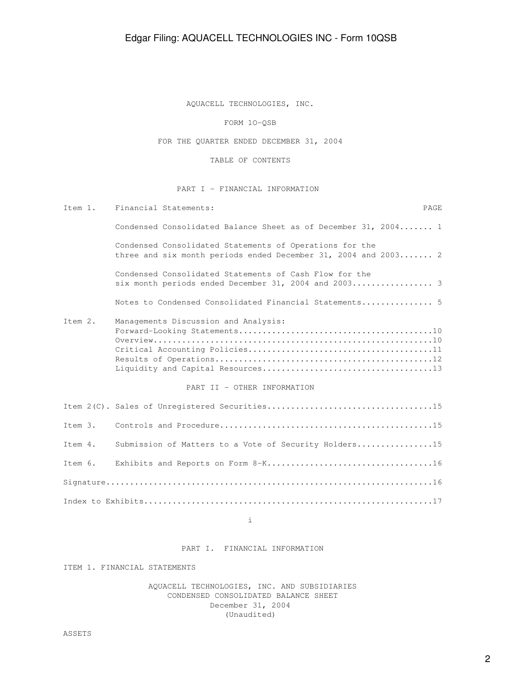AQUACELL TECHNOLOGIES, INC.

FORM 1O-QSB

FOR THE QUARTER ENDED DECEMBER 31, 2004

TABLE OF CONTENTS

### PART I - FINANCIAL INFORMATION

| Ttem 1.      | Financial Statements:<br><b>PAGE</b>                                                                                      |  |
|--------------|---------------------------------------------------------------------------------------------------------------------------|--|
|              | Condensed Consolidated Balance Sheet as of December 31, 2004 1                                                            |  |
|              | Condensed Consolidated Statements of Operations for the<br>three and six month periods ended December 31, 2004 and 2003 2 |  |
|              | Condensed Consolidated Statements of Cash Flow for the<br>six month periods ended December 31, 2004 and 2003 3            |  |
|              | Notes to Condensed Consolidated Financial Statements 5                                                                    |  |
| $T$ tem $2.$ | Managements Discussion and Analysis:<br>PART II - OTHER INFORMATION                                                       |  |
|              |                                                                                                                           |  |
| Item 3.      |                                                                                                                           |  |
| Ttem 4.      | Submission of Matters to a Vote of Security Holders15                                                                     |  |
| Item 6.      |                                                                                                                           |  |
|              |                                                                                                                           |  |
|              |                                                                                                                           |  |
|              |                                                                                                                           |  |

i

PART I. FINANCIAL INFORMATION

ITEM 1. FINANCIAL STATEMENTS

 AQUACELL TECHNOLOGIES, INC. AND SUBSIDIARIES CONDENSED CONSOLIDATED BALANCE SHEET December 31, 2004 (Unaudited)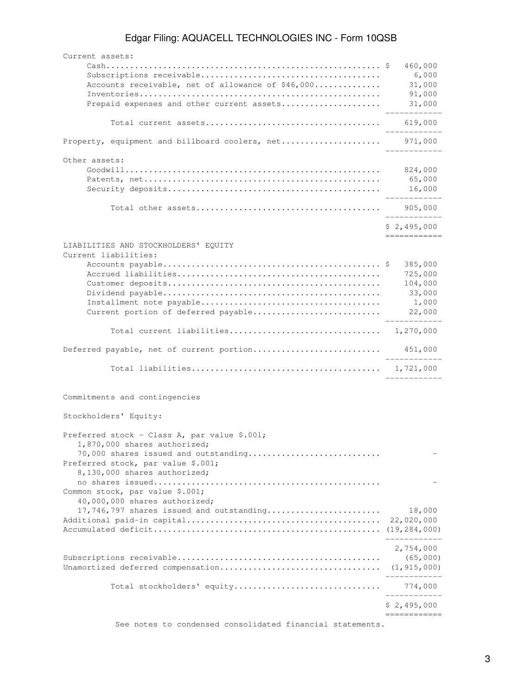| Current assets:                                                                                                                                                                            |                                                            |
|--------------------------------------------------------------------------------------------------------------------------------------------------------------------------------------------|------------------------------------------------------------|
| Accounts receivable, net of allowance of \$46,000                                                                                                                                          | 460,000<br>6,000<br>31,000<br>91,000                       |
| Prepaid expenses and other current assets                                                                                                                                                  | 31,000                                                     |
|                                                                                                                                                                                            | 619,000                                                    |
| Property, equipment and billboard coolers, net 971,000                                                                                                                                     | -----------                                                |
| Other assets:                                                                                                                                                                              | 824,000<br>65,000<br>16,000<br>. _ _ _ _ _ _ _ _ _         |
|                                                                                                                                                                                            | 905,000                                                    |
|                                                                                                                                                                                            | \$2,495,000<br>------------                                |
| LIABILITIES AND STOCKHOLDERS' EQUITY<br>Current liabilities:<br>Current portion of deferred payable                                                                                        | 385,000<br>725,000<br>104,000<br>33,000<br>1,000<br>22,000 |
|                                                                                                                                                                                            |                                                            |
| Deferred payable, net of current portion                                                                                                                                                   | 451,000                                                    |
|                                                                                                                                                                                            |                                                            |
| Commitments and contingencies                                                                                                                                                              |                                                            |
| Stockholders' Equity:                                                                                                                                                                      |                                                            |
| Preferred stock - Class A, par value \$.001;<br>1,870,000 shares authorized;<br>70,000 shares issued and outstanding<br>Preferred stock, par value \$.001;<br>8,130,000 shares authorized; |                                                            |
| Common stock, par value \$.001;<br>40,000,000 shares authorized;                                                                                                                           |                                                            |
| 17,746,797 shares issued and outstanding                                                                                                                                                   | 18,000<br>22,020,000<br>----------                         |
|                                                                                                                                                                                            | 2,754,000<br>(65,000)<br>(1, 915, 000)<br>__________       |
|                                                                                                                                                                                            | . _ _ _ _ _ _ _ _ _ _                                      |
|                                                                                                                                                                                            | \$2,495,000                                                |
|                                                                                                                                                                                            |                                                            |

See notes to condensed consolidated financial statements.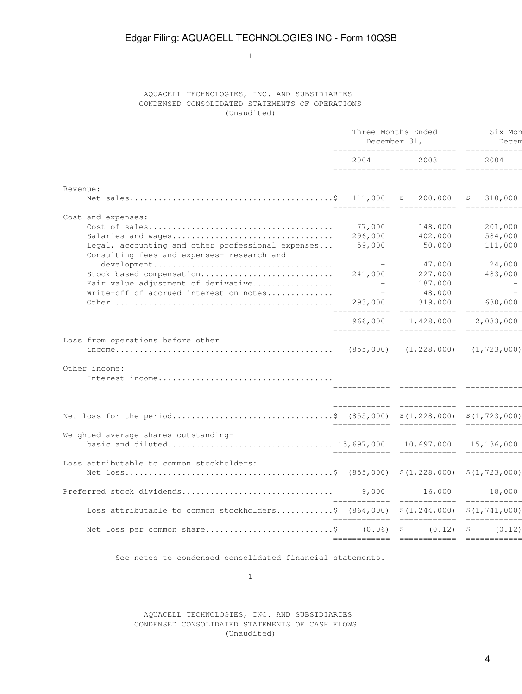1

### AQUACELL TECHNOLOGIES, INC. AND SUBSIDIARIES CONDENSED CONSOLIDATED STATEMENTS OF OPERATIONS (Unaudited)

|                                                                                          | Three Months Ended<br>December 31,                                                                                                                                                                                              | Six Mon<br>Decem              |                |
|------------------------------------------------------------------------------------------|---------------------------------------------------------------------------------------------------------------------------------------------------------------------------------------------------------------------------------|-------------------------------|----------------|
|                                                                                          | 2004 — 2004 — 2005 — 2006 — 2007 — 2008 — 2008 — 2008 — 2008 — 2008 — 2008 — 2008 — 2008 — 2008 — 2008 — 2008 — 2008 — 2008 — 2008 — 2008 — 2008 — 2008 — 2008 — 2008 — 2008 — 2008 — 2008 — 2008 — 2008 — 2008 — 2008 — 2008 — | 2003 — 100                    | 2004           |
| Revenue:                                                                                 |                                                                                                                                                                                                                                 |                               |                |
|                                                                                          |                                                                                                                                                                                                                                 |                               | 310,000<br>S   |
| Cost and expenses:                                                                       |                                                                                                                                                                                                                                 |                               |                |
|                                                                                          |                                                                                                                                                                                                                                 | 77,000 148,000                | 201,000        |
| Salaries and wages                                                                       |                                                                                                                                                                                                                                 | 296,000 402,000               | 584,000        |
| Legal, accounting and other professional expenses                                        |                                                                                                                                                                                                                                 | 59,000 50,000                 | 111,000        |
| Consulting fees and expenses- research and                                               |                                                                                                                                                                                                                                 |                               |                |
|                                                                                          |                                                                                                                                                                                                                                 | 47,000                        | 24,000         |
| Stock based compensation                                                                 |                                                                                                                                                                                                                                 | 241,000 227,000               | 483,000        |
| Fair value adjustment of derivative                                                      | $\mathcal{L}^{\mathcal{L}}$ and $\mathcal{L}^{\mathcal{L}}$                                                                                                                                                                     | 187,000                       | $\overline{a}$ |
| Write-off of accrued interest on notes                                                   | $\sim$ $-$                                                                                                                                                                                                                      | 48,000                        |                |
|                                                                                          |                                                                                                                                                                                                                                 | 293,000 319,000               | 630,000        |
|                                                                                          |                                                                                                                                                                                                                                 | 966,000 1,428,000 2,033,000   |                |
| Loss from operations before other                                                        |                                                                                                                                                                                                                                 |                               |                |
|                                                                                          |                                                                                                                                                                                                                                 |                               |                |
| Other income:                                                                            |                                                                                                                                                                                                                                 |                               |                |
|                                                                                          |                                                                                                                                                                                                                                 |                               |                |
|                                                                                          |                                                                                                                                                                                                                                 |                               |                |
|                                                                                          |                                                                                                                                                                                                                                 |                               |                |
| Net loss for the period\$ (855,000) \$(1,228,000) \$(1,723,000)                          |                                                                                                                                                                                                                                 |                               |                |
| Weighted average shares outstanding-                                                     |                                                                                                                                                                                                                                 |                               |                |
|                                                                                          |                                                                                                                                                                                                                                 |                               |                |
|                                                                                          |                                                                                                                                                                                                                                 |                               |                |
| Loss attributable to common stockholders:                                                |                                                                                                                                                                                                                                 |                               |                |
|                                                                                          |                                                                                                                                                                                                                                 |                               |                |
| Preferred stock dividends                                                                |                                                                                                                                                                                                                                 | 9,000 16,000<br>_____________ | 18,000         |
| Loss attributable to common stockholders\$ $(864,000)$ \$ $(1,244,000)$ \$ $(1,741,000)$ |                                                                                                                                                                                                                                 |                               |                |
| Net loss per common share \$ (0.06) \$                                                   |                                                                                                                                                                                                                                 | $(0.12)$ \$                   | (0.12)         |
|                                                                                          |                                                                                                                                                                                                                                 |                               |                |

See notes to condensed consolidated financial statements.

1

### AQUACELL TECHNOLOGIES, INC. AND SUBSIDIARIES CONDENSED CONSOLIDATED STATEMENTS OF CASH FLOWS (Unaudited)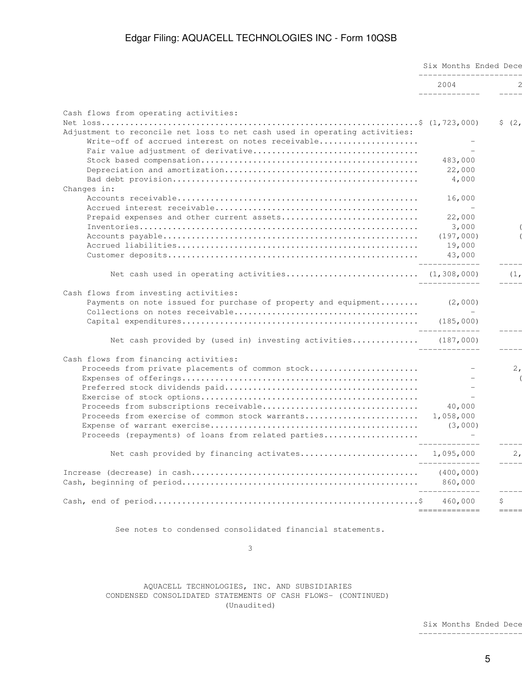|                                                                            | Six Months Ended Dece<br>_______________________ |           |  |
|----------------------------------------------------------------------------|--------------------------------------------------|-----------|--|
|                                                                            | 2004<br>______________                           |           |  |
|                                                                            |                                                  |           |  |
| Cash flows from operating activities:                                      |                                                  | \$ (2, 2) |  |
| Adjustment to reconcile net loss to net cash used in operating activities: |                                                  |           |  |
| Write-off of accrued interest on notes receivable                          |                                                  |           |  |
|                                                                            | 483,000                                          |           |  |
|                                                                            | 22,000                                           |           |  |
|                                                                            | 4,000                                            |           |  |
| Changes in:                                                                |                                                  |           |  |
|                                                                            | 16,000                                           |           |  |
|                                                                            |                                                  |           |  |
| Prepaid expenses and other current assets                                  | 22,000                                           |           |  |
|                                                                            | 3,000                                            |           |  |
|                                                                            | (197, 000)                                       |           |  |
|                                                                            | 19,000                                           |           |  |
|                                                                            | 43,000                                           |           |  |
|                                                                            |                                                  |           |  |
| Net cash used in operating activities (1,308,000)                          | ______________                                   | (1,       |  |
| Cash flows from investing activities:                                      |                                                  |           |  |
| Payments on note issued for purchase of property and equipment (2,000)     |                                                  |           |  |
|                                                                            |                                                  |           |  |
|                                                                            |                                                  |           |  |
|                                                                            | ______________                                   |           |  |
| Net cash provided by (used in) investing activities (187,000)              | ______________                                   | -----     |  |
| Cash flows from financing activities:                                      |                                                  |           |  |
| Proceeds from private placements of common stock                           |                                                  | 2,        |  |
|                                                                            |                                                  |           |  |
|                                                                            |                                                  |           |  |
|                                                                            |                                                  |           |  |
| Proceeds from subscriptions receivable                                     | 40,000                                           |           |  |
| Proceeds from exercise of common stock warrants                            | 1,058,000                                        |           |  |
|                                                                            | (3,000)                                          |           |  |
| Proceeds (repayments) of loans from related parties                        |                                                  |           |  |
| Net cash provided by financing activates 1,095,000                         | ______________                                   | 2,        |  |
|                                                                            |                                                  |           |  |
|                                                                            | (400, 000)                                       |           |  |
|                                                                            | 860,000                                          |           |  |
|                                                                            | 460,000                                          | \$        |  |

See notes to condensed consolidated financial statements.

 $\sim$  3

 AQUACELL TECHNOLOGIES, INC. AND SUBSIDIARIES CONDENSED CONSOLIDATED STATEMENTS OF CASH FLOWS- (CONTINUED) (Unaudited)

> Six Months Ended Dece ------------------------------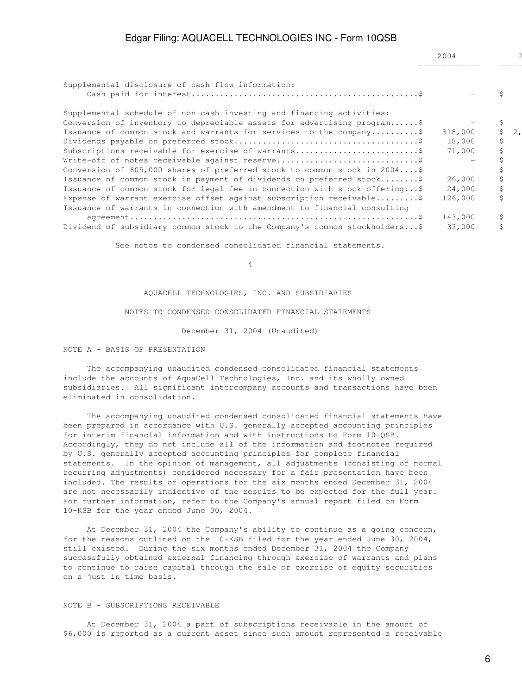| Supplemental disclosure of cash flow information:                          |         |    |    |
|----------------------------------------------------------------------------|---------|----|----|
|                                                                            |         |    |    |
| Supplemental schedule of non-cash investing and financing activities:      |         |    |    |
| Conversion of inventory to depreciable assets for advertising program\$    |         |    |    |
| Issuance of common stock and warrants for services to the company\$        | 318,000 |    | 2. |
|                                                                            | 18,000  | \$ |    |
| Subscriptions receivable for exercise of warrants\$                        | 71,000  |    |    |
|                                                                            |         |    |    |
| Conversion of 605,000 shares of preferred stock to common stock in $2004$  |         |    |    |
| Issuance of common stock in payment of dividends on preferred stock\$      | 26,000  |    |    |
| Issuance of common stock for legal fee in connection with stock offering\$ | 24,000  | \$ |    |
| Expense of warrant exercise offset against subscription receivable\$       | 126,000 | Ś  |    |
| Issuance of warrants in connection with amendment to financial consulting  |         |    |    |
|                                                                            | 143,000 |    |    |
| Dividend of subsidiary common stock to the Company's common stockholders\$ | 33,000  |    |    |

See notes to condensed consolidated financial statements.

4

AQUACELL TECHNOLOGIES, INC. AND SUBSIDIARIES

### NOTES TO CONDENSED CONSOLIDATED FINANCIAL STATEMENTS

December 31, 2004 (Unaudited)

#### NOTE A - BASIS OF PRESENTATION

 The accompanying unaudited condensed consolidated financial statements include the accounts of AquaCell Technologies, Inc. and its wholly owned subsidiaries. All significant intercompany accounts and transactions have been eliminated in consolidation.

 The accompanying unaudited condensed consolidated financial statements have been prepared in accordance with U.S. generally accepted accounting principles for interim financial information and with instructions to Form 10-QSB. Accordingly, they do not include all of the information and footnotes required by U.S. generally accepted accounting principles for complete financial statements. In the opinion of management, all adjustments (consisting of normal recurring adjustments) considered necessary for a fair presentation have been included. The results of operations for the six months ended December 31, 2004 are not necessarily indicative of the results to be expected for the full year. For further information, refer to the Company's annual report filed on Form 10-KSB for the year ended June 30, 2004.

 At December 31, 2004 the Company's ability to continue as a going concern, for the reasons outlined on the 10-KSB filed for the year ended June 30, 2004, still existed. During the six months ended December 31, 2004 the Company successfully obtained external financing through exercise of warrants and plans to continue to raise capital through the sale or exercise of equity securities on a just in time basis.

#### NOTE B - SUBSCRIPTIONS RECEIVABLE

 At December 31, 2004 a part of subscriptions receivable in the amount of \$6,000 is reported as a current asset since such amount represented a receivable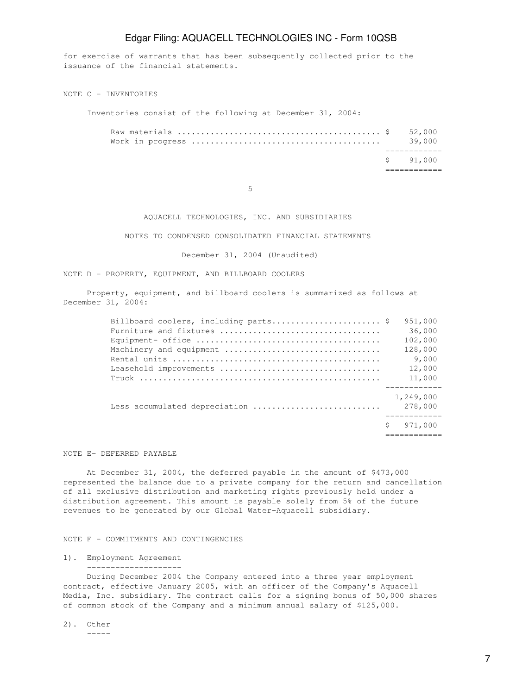for exercise of warrants that has been subsequently collected prior to the issuance of the financial statements.

NOTE C - INVENTORIES

Inventories consist of the following at December 31, 2004:

|  | \$91,000 |
|--|----------|
|  | 39.000   |
|  |          |

 $5<sub>5</sub>$ 

### AQUACELL TECHNOLOGIES, INC. AND SUBSIDIARIES

NOTES TO CONDENSED CONSOLIDATED FINANCIAL STATEMENTS

December 31, 2004 (Unaudited)

NOTE D - PROPERTY, EQUIPMENT, AND BILLBOARD COOLERS

 Property, equipment, and billboard coolers is summarized as follows at December 31, 2004:

| Billboard coolers, including parts \$ | 951,000              |
|---------------------------------------|----------------------|
|                                       | 36,000               |
|                                       | 102,000              |
|                                       | 128,000              |
|                                       | 9,000                |
| Leasehold improvements                | 12,000               |
|                                       | 11,000               |
| Less accumulated depreciation         | 1,249,000<br>278,000 |
|                                       | 971,000              |
|                                       |                      |

NOTE E- DEFERRED PAYABLE

 At December 31, 2004, the deferred payable in the amount of \$473,000 represented the balance due to a private company for the return and cancellation of all exclusive distribution and marketing rights previously held under a distribution agreement. This amount is payable solely from 5% of the future revenues to be generated by our Global Water-Aquacell subsidiary.

### NOTE F - COMMITMENTS AND CONTINGENCIES

1). Employment Agreement --------------------

 During December 2004 the Company entered into a three year employment contract, effective January 2005, with an officer of the Company's Aquacell Media, Inc. subsidiary. The contract calls for a signing bonus of 50,000 shares of common stock of the Company and a minimum annual salary of \$125,000.

2). Other

-----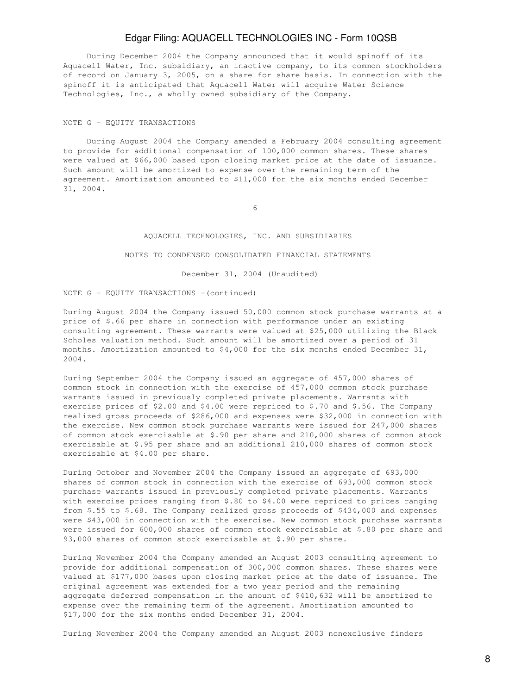During December 2004 the Company announced that it would spinoff of its Aquacell Water, Inc. subsidiary, an inactive company, to its common stockholders of record on January 3, 2005, on a share for share basis. In connection with the spinoff it is anticipated that Aquacell Water will acquire Water Science Technologies, Inc., a wholly owned subsidiary of the Company.

#### NOTE G - EQUITY TRANSACTIONS

 During August 2004 the Company amended a February 2004 consulting agreement to provide for additional compensation of 100,000 common shares. These shares were valued at \$66,000 based upon closing market price at the date of issuance. Such amount will be amortized to expense over the remaining term of the agreement. Amortization amounted to \$11,000 for the six months ended December 31, 2004.

 $\sim$  6

### AQUACELL TECHNOLOGIES, INC. AND SUBSIDIARIES

#### NOTES TO CONDENSED CONSOLIDATED FINANCIAL STATEMENTS

December 31, 2004 (Unaudited)

NOTE  $G - EQUITY$  TRANSACTIONS  $-(continued)$ 

During August 2004 the Company issued 50,000 common stock purchase warrants at a price of \$.66 per share in connection with performance under an existing consulting agreement. These warrants were valued at \$25,000 utilizing the Black Scholes valuation method. Such amount will be amortized over a period of 31 months. Amortization amounted to \$4,000 for the six months ended December 31, 2004.

During September 2004 the Company issued an aggregate of 457,000 shares of common stock in connection with the exercise of 457,000 common stock purchase warrants issued in previously completed private placements. Warrants with exercise prices of \$2.00 and \$4.00 were repriced to \$.70 and \$.56. The Company realized gross proceeds of \$286,000 and expenses were \$32,000 in connection with the exercise. New common stock purchase warrants were issued for 247,000 shares of common stock exercisable at \$.90 per share and 210,000 shares of common stock exercisable at \$.95 per share and an additional 210,000 shares of common stock exercisable at \$4.00 per share.

During October and November 2004 the Company issued an aggregate of 693,000 shares of common stock in connection with the exercise of 693,000 common stock purchase warrants issued in previously completed private placements. Warrants with exercise prices ranging from \$.80 to \$4.00 were repriced to prices ranging from \$.55 to \$.68. The Company realized gross proceeds of \$434,000 and expenses were \$43,000 in connection with the exercise. New common stock purchase warrants were issued for 600,000 shares of common stock exercisable at \$.80 per share and 93,000 shares of common stock exercisable at \$.90 per share.

During November 2004 the Company amended an August 2003 consulting agreement to provide for additional compensation of 300,000 common shares. These shares were valued at \$177,000 bases upon closing market price at the date of issuance. The original agreement was extended for a two year period and the remaining aggregate deferred compensation in the amount of \$410,632 will be amortized to expense over the remaining term of the agreement. Amortization amounted to \$17,000 for the six months ended December 31, 2004.

During November 2004 the Company amended an August 2003 nonexclusive finders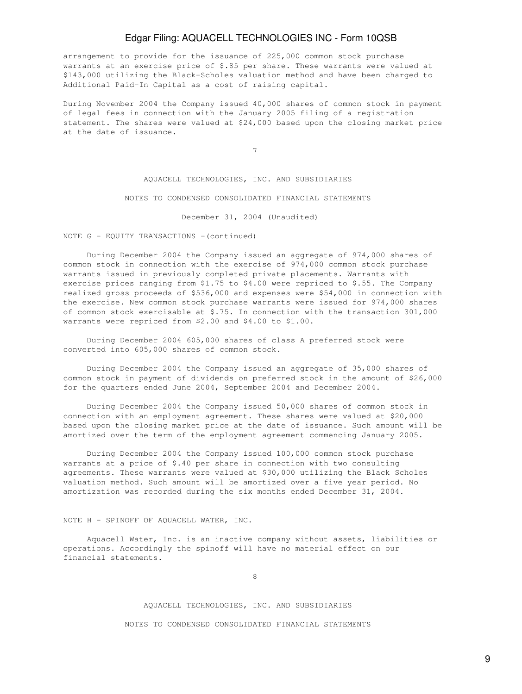arrangement to provide for the issuance of 225,000 common stock purchase warrants at an exercise price of \$.85 per share. These warrants were valued at \$143,000 utilizing the Black-Scholes valuation method and have been charged to Additional Paid-In Capital as a cost of raising capital.

During November 2004 the Company issued 40,000 shares of common stock in payment of legal fees in connection with the January 2005 filing of a registration statement. The shares were valued at \$24,000 based upon the closing market price at the date of issuance.

7

### AQUACELL TECHNOLOGIES, INC. AND SUBSIDIARIES

### NOTES TO CONDENSED CONSOLIDATED FINANCIAL STATEMENTS

December 31, 2004 (Unaudited)

#### NOTE G - EQUITY TRANSACTIONS - (continued)

 During December 2004 the Company issued an aggregate of 974,000 shares of common stock in connection with the exercise of 974,000 common stock purchase warrants issued in previously completed private placements. Warrants with exercise prices ranging from \$1.75 to \$4.00 were repriced to \$.55. The Company realized gross proceeds of \$536,000 and expenses were \$54,000 in connection with the exercise. New common stock purchase warrants were issued for 974,000 shares of common stock exercisable at \$.75. In connection with the transaction 301,000 warrants were repriced from \$2.00 and \$4.00 to \$1.00.

 During December 2004 605,000 shares of class A preferred stock were converted into 605,000 shares of common stock.

 During December 2004 the Company issued an aggregate of 35,000 shares of common stock in payment of dividends on preferred stock in the amount of \$26,000 for the quarters ended June 2004, September 2004 and December 2004.

 During December 2004 the Company issued 50,000 shares of common stock in connection with an employment agreement. These shares were valued at \$20,000 based upon the closing market price at the date of issuance. Such amount will be amortized over the term of the employment agreement commencing January 2005.

 During December 2004 the Company issued 100,000 common stock purchase warrants at a price of \$.40 per share in connection with two consulting agreements. These warrants were valued at \$30,000 utilizing the Black Scholes valuation method. Such amount will be amortized over a five year period. No amortization was recorded during the six months ended December 31, 2004.

#### NOTE H - SPINOFF OF AQUACELL WATER, INC.

 Aquacell Water, Inc. is an inactive company without assets, liabilities or operations. Accordingly the spinoff will have no material effect on our financial statements.

en andere de la provincia de la provincia de la provincia de la provincia de la provincia de la provincia de<br>En la provincia de la provincia de la provincia de la provincia de la provincia de la provincia de la provinci

#### AQUACELL TECHNOLOGIES, INC. AND SUBSIDIARIES

NOTES TO CONDENSED CONSOLIDATED FINANCIAL STATEMENTS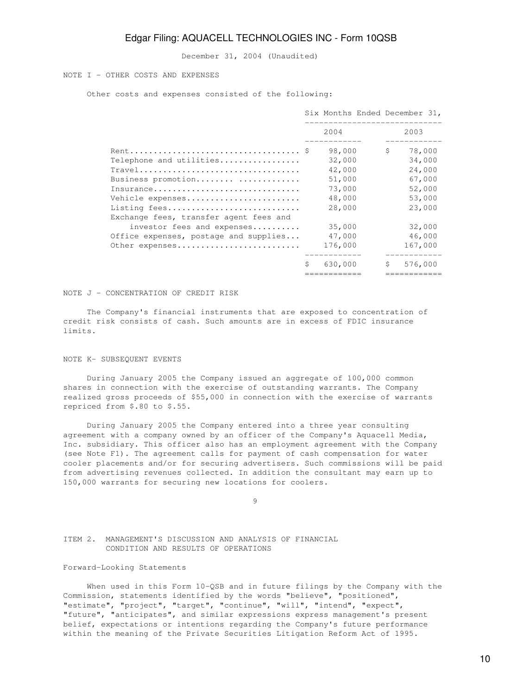December 31, 2004 (Unaudited)

### NOTE I - OTHER COSTS AND EXPENSES

Other costs and expenses consisted of the following:

|                                                                                                               |   | Six Months Ended December 31,<br>________________ |              |                            |
|---------------------------------------------------------------------------------------------------------------|---|---------------------------------------------------|--------------|----------------------------|
|                                                                                                               |   | 2004                                              |              | 2003                       |
| Telephone and utilities                                                                                       |   | 98,000<br>32,000                                  | $\mathsf{S}$ | 78,000<br>34,000           |
| Travel<br>Business promotion<br>Insurance                                                                     |   | 42,000<br>51,000<br>73,000                        |              | 24,000<br>67,000<br>52,000 |
| Vehicle expenses<br>Listing fees                                                                              |   | 48,000<br>28,000                                  |              | 53,000<br>23,000           |
| Exchange fees, transfer agent fees and<br>investor fees and expenses<br>Office expenses, postage and supplies |   | 35,000<br>47,000                                  |              | 32,000<br>46,000           |
| Other expenses                                                                                                |   | 176,000                                           |              | 167,000                    |
|                                                                                                               | Ś | 630,000                                           | \$           | 576,000                    |

NOTE J - CONCENTRATION OF CREDIT RISK

 The Company's financial instruments that are exposed to concentration of credit risk consists of cash. Such amounts are in excess of FDIC insurance limits.

### NOTE K- SUBSEQUENT EVENTS

 During January 2005 the Company issued an aggregate of 100,000 common shares in connection with the exercise of outstanding warrants. The Company realized gross proceeds of \$55,000 in connection with the exercise of warrants repriced from \$.80 to \$.55.

 During January 2005 the Company entered into a three year consulting agreement with a company owned by an officer of the Company's Aquacell Media, Inc. subsidiary. This officer also has an employment agreement with the Company (see Note F1). The agreement calls for payment of cash compensation for water cooler placements and/or for securing advertisers. Such commissions will be paid from advertising revenues collected. In addition the consultant may earn up to 150,000 warrants for securing new locations for coolers.

9

ITEM 2. MANAGEMENT'S DISCUSSION AND ANALYSIS OF FINANCIAL CONDITION AND RESULTS OF OPERATIONS

### Forward-Looking Statements

 When used in this Form 10-QSB and in future filings by the Company with the Commission, statements identified by the words "believe", "positioned", "estimate", "project", "target", "continue", "will", "intend", "expect", "future", "anticipates", and similar expressions express management's present belief, expectations or intentions regarding the Company's future performance within the meaning of the Private Securities Litigation Reform Act of 1995.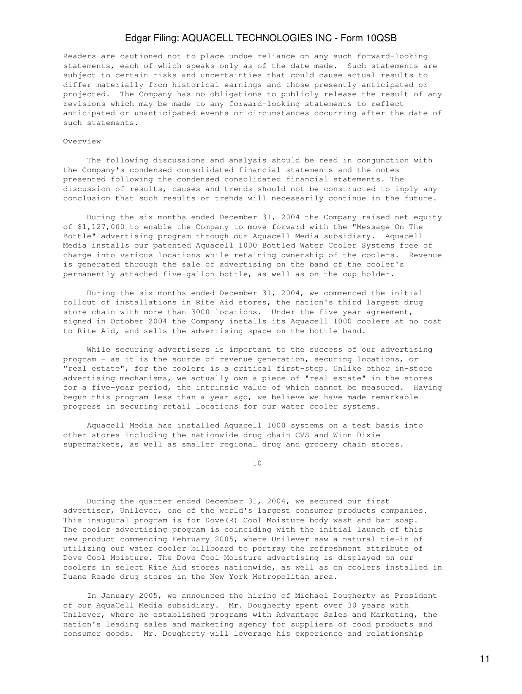Readers are cautioned not to place undue reliance on any such forward-looking statements, each of which speaks only as of the date made. Such statements are subject to certain risks and uncertainties that could cause actual results to differ materially from historical earnings and those presently anticipated or projected. The Company has no obligations to publicly release the result of any revisions which may be made to any forward-looking statements to reflect anticipated or unanticipated events or circumstances occurring after the date of such statements.

#### Overview

 The following discussions and analysis should be read in conjunction with the Company's condensed consolidated financial statements and the notes presented following the condensed consolidated financial statements. The discussion of results, causes and trends should not be constructed to imply any conclusion that such results or trends will necessarily continue in the future.

 During the six months ended December 31, 2004 the Company raised net equity of \$1,127,000 to enable the Company to move forward with the "Message On The Bottle" advertising program through our Aquacell Media subsidiary. Aquacell Media installs our patented Aquacell 1000 Bottled Water Cooler Systems free of charge into various locations while retaining ownership of the coolers. Revenue is generated through the sale of advertising on the band of the cooler's permanently attached five-gallon bottle, as well as on the cup holder.

 During the six months ended December 31, 2004, we commenced the initial rollout of installations in Rite Aid stores, the nation's third largest drug store chain with more than 3000 locations. Under the five year agreement, signed in October 2004 the Company installs its Aquacell 1000 coolers at no cost to Rite Aid, and sells the advertising space on the bottle band.

 While securing advertisers is important to the success of our advertising program - as it is the source of revenue generation, securing locations, or "real estate", for the coolers is a critical first-step. Unlike other in-store advertising mechanisms, we actually own a piece of "real estate" in the stores for a five-year period, the intrinsic value of which cannot be measured. Having begun this program less than a year ago, we believe we have made remarkable progress in securing retail locations for our water cooler systems.

 Aquacell Media has installed Aquacell 1000 systems on a test basis into other stores including the nationwide drug chain CVS and Winn Dixie supermarkets, as well as smaller regional drug and grocery chain stores.

10

 During the quarter ended December 31, 2004, we secured our first advertiser, Unilever, one of the world's largest consumer products companies. This inaugural program is for Dove(R) Cool Moisture body wash and bar soap. The cooler advertising program is coinciding with the initial launch of this new product commencing February 2005, where Unilever saw a natural tie-in of utilizing our water cooler billboard to portray the refreshment attribute of Dove Cool Moisture. The Dove Cool Moisture advertising is displayed on our coolers in select Rite Aid stores nationwide, as well as on coolers installed in Duane Reade drug stores in the New York Metropolitan area.

 In January 2005, we announced the hiring of Michael Dougherty as President of our AquaCell Media subsidiary. Mr. Dougherty spent over 30 years with Unilever, where he established programs with Advantage Sales and Marketing, the nation's leading sales and marketing agency for suppliers of food products and consumer goods. Mr. Dougherty will leverage his experience and relationship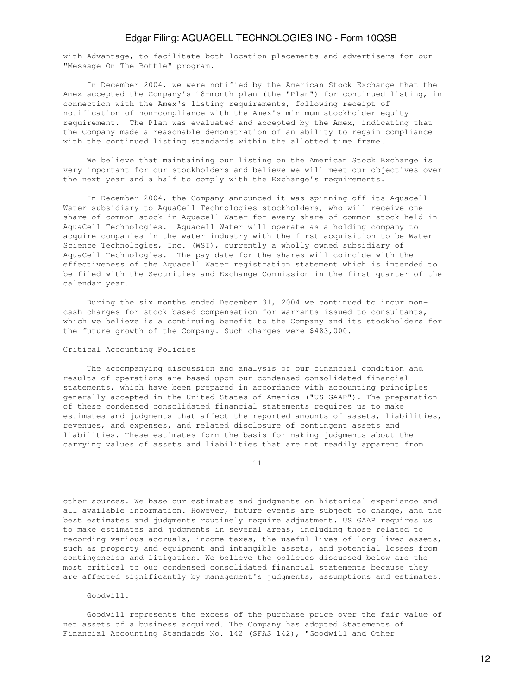with Advantage, to facilitate both location placements and advertisers for our "Message On The Bottle" program.

 In December 2004, we were notified by the American Stock Exchange that the Amex accepted the Company's 18-month plan (the "Plan") for continued listing, in connection with the Amex's listing requirements, following receipt of notification of non-compliance with the Amex's minimum stockholder equity requirement. The Plan was evaluated and accepted by the Amex, indicating that the Company made a reasonable demonstration of an ability to regain compliance with the continued listing standards within the allotted time frame.

 We believe that maintaining our listing on the American Stock Exchange is very important for our stockholders and believe we will meet our objectives over the next year and a half to comply with the Exchange's requirements.

 In December 2004, the Company announced it was spinning off its Aquacell Water subsidiary to AquaCell Technologies stockholders, who will receive one share of common stock in Aquacell Water for every share of common stock held in AquaCell Technologies. Aquacell Water will operate as a holding company to acquire companies in the water industry with the first acquisition to be Water Science Technologies, Inc. (WST), currently a wholly owned subsidiary of AquaCell Technologies. The pay date for the shares will coincide with the effectiveness of the Aquacell Water registration statement which is intended to be filed with the Securities and Exchange Commission in the first quarter of the calendar year.

 During the six months ended December 31, 2004 we continued to incur noncash charges for stock based compensation for warrants issued to consultants, which we believe is a continuing benefit to the Company and its stockholders for the future growth of the Company. Such charges were \$483,000.

#### Critical Accounting Policies

 The accompanying discussion and analysis of our financial condition and results of operations are based upon our condensed consolidated financial statements, which have been prepared in accordance with accounting principles generally accepted in the United States of America ("US GAAP"). The preparation of these condensed consolidated financial statements requires us to make estimates and judgments that affect the reported amounts of assets, liabilities, revenues, and expenses, and related disclosure of contingent assets and liabilities. These estimates form the basis for making judgments about the carrying values of assets and liabilities that are not readily apparent from

11

other sources. We base our estimates and judgments on historical experience and all available information. However, future events are subject to change, and the best estimates and judgments routinely require adjustment. US GAAP requires us to make estimates and judgments in several areas, including those related to recording various accruals, income taxes, the useful lives of long-lived assets, such as property and equipment and intangible assets, and potential losses from contingencies and litigation. We believe the policies discussed below are the most critical to our condensed consolidated financial statements because they are affected significantly by management's judgments, assumptions and estimates.

Goodwill:

 Goodwill represents the excess of the purchase price over the fair value of net assets of a business acquired. The Company has adopted Statements of Financial Accounting Standards No. 142 (SFAS 142), "Goodwill and Other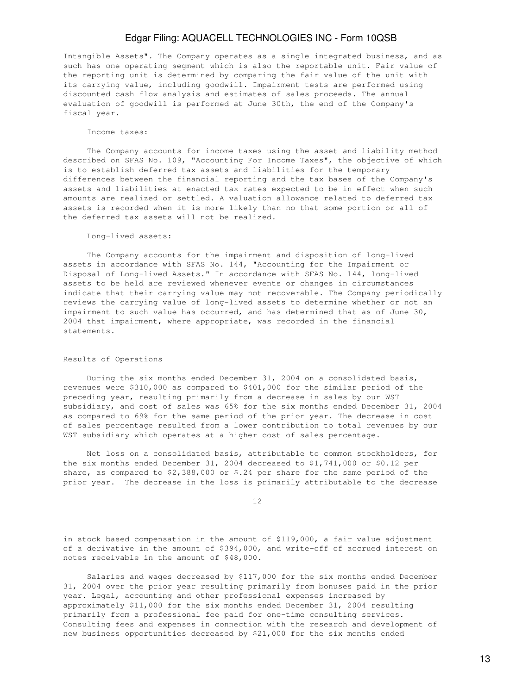Intangible Assets". The Company operates as a single integrated business, and as such has one operating segment which is also the reportable unit. Fair value of the reporting unit is determined by comparing the fair value of the unit with its carrying value, including goodwill. Impairment tests are performed using discounted cash flow analysis and estimates of sales proceeds. The annual evaluation of goodwill is performed at June 30th, the end of the Company's fiscal year.

#### Income taxes:

 The Company accounts for income taxes using the asset and liability method described on SFAS No. 109, "Accounting For Income Taxes", the objective of which is to establish deferred tax assets and liabilities for the temporary differences between the financial reporting and the tax bases of the Company's assets and liabilities at enacted tax rates expected to be in effect when such amounts are realized or settled. A valuation allowance related to deferred tax assets is recorded when it is more likely than no that some portion or all of the deferred tax assets will not be realized.

#### Long-lived assets:

 The Company accounts for the impairment and disposition of long-lived assets in accordance with SFAS No. 144, "Accounting for the Impairment or Disposal of Long-lived Assets." In accordance with SFAS No. 144, long-lived assets to be held are reviewed whenever events or changes in circumstances indicate that their carrying value may not recoverable. The Company periodically reviews the carrying value of long-lived assets to determine whether or not an impairment to such value has occurred, and has determined that as of June 30, 2004 that impairment, where appropriate, was recorded in the financial statements.

#### Results of Operations

 During the six months ended December 31, 2004 on a consolidated basis, revenues were \$310,000 as compared to \$401,000 for the similar period of the preceding year, resulting primarily from a decrease in sales by our WST subsidiary, and cost of sales was 65% for the six months ended December 31, 2004 as compared to 69% for the same period of the prior year. The decrease in cost of sales percentage resulted from a lower contribution to total revenues by our WST subsidiary which operates at a higher cost of sales percentage.

 Net loss on a consolidated basis, attributable to common stockholders, for the six months ended December 31, 2004 decreased to \$1,741,000 or \$0.12 per share, as compared to \$2,388,000 or \$.24 per share for the same period of the prior year. The decrease in the loss is primarily attributable to the decrease

12

in stock based compensation in the amount of \$119,000, a fair value adjustment of a derivative in the amount of \$394,000, and write-off of accrued interest on notes receivable in the amount of \$48,000.

 Salaries and wages decreased by \$117,000 for the six months ended December 31, 2004 over the prior year resulting primarily from bonuses paid in the prior year. Legal, accounting and other professional expenses increased by approximately \$11,000 for the six months ended December 31, 2004 resulting primarily from a professional fee paid for one-time consulting services. Consulting fees and expenses in connection with the research and development of new business opportunities decreased by \$21,000 for the six months ended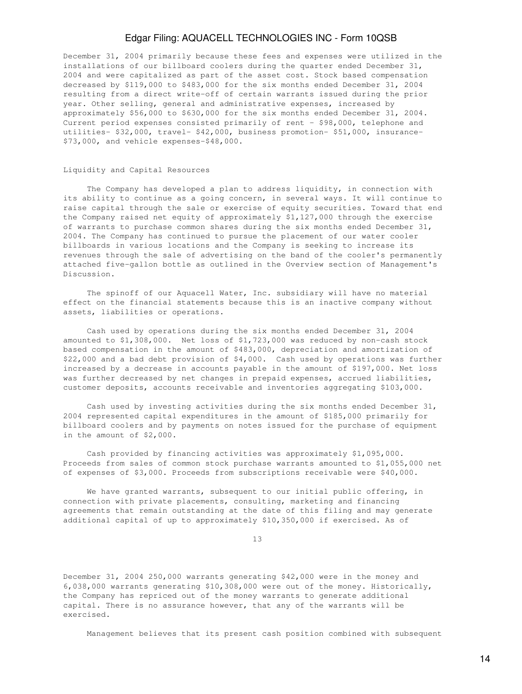December 31, 2004 primarily because these fees and expenses were utilized in the installations of our billboard coolers during the quarter ended December 31, 2004 and were capitalized as part of the asset cost. Stock based compensation decreased by \$119,000 to \$483,000 for the six months ended December 31, 2004 resulting from a direct write-off of certain warrants issued during the prior year. Other selling, general and administrative expenses, increased by approximately \$56,000 to \$630,000 for the six months ended December 31, 2004. Current period expenses consisted primarily of rent - \$98,000, telephone and utilities- \$32,000, travel- \$42,000, business promotion- \$51,000, insurance- \$73,000, and vehicle expenses-\$48,000.

### Liquidity and Capital Resources

 The Company has developed a plan to address liquidity, in connection with its ability to continue as a going concern, in several ways. It will continue to raise capital through the sale or exercise of equity securities. Toward that end the Company raised net equity of approximately \$1,127,000 through the exercise of warrants to purchase common shares during the six months ended December 31, 2004. The Company has continued to pursue the placement of our water cooler billboards in various locations and the Company is seeking to increase its revenues through the sale of advertising on the band of the cooler's permanently attached five-gallon bottle as outlined in the Overview section of Management's Discussion.

 The spinoff of our Aquacell Water, Inc. subsidiary will have no material effect on the financial statements because this is an inactive company without assets, liabilities or operations.

 Cash used by operations during the six months ended December 31, 2004 amounted to \$1,308,000. Net loss of \$1,723,000 was reduced by non-cash stock based compensation in the amount of \$483,000, depreciation and amortization of \$22,000 and a bad debt provision of \$4,000. Cash used by operations was further increased by a decrease in accounts payable in the amount of \$197,000. Net loss was further decreased by net changes in prepaid expenses, accrued liabilities, customer deposits, accounts receivable and inventories aggregating \$103,000.

 Cash used by investing activities during the six months ended December 31, 2004 represented capital expenditures in the amount of \$185,000 primarily for billboard coolers and by payments on notes issued for the purchase of equipment in the amount of \$2,000.

 Cash provided by financing activities was approximately \$1,095,000. Proceeds from sales of common stock purchase warrants amounted to \$1,055,000 net of expenses of \$3,000. Proceeds from subscriptions receivable were \$40,000.

 We have granted warrants, subsequent to our initial public offering, in connection with private placements, consulting, marketing and financing agreements that remain outstanding at the date of this filing and may generate additional capital of up to approximately \$10,350,000 if exercised. As of

13

December 31, 2004 250,000 warrants generating \$42,000 were in the money and 6,038,000 warrants generating \$10,308,000 were out of the money. Historically, the Company has repriced out of the money warrants to generate additional capital. There is no assurance however, that any of the warrants will be exercised.

Management believes that its present cash position combined with subsequent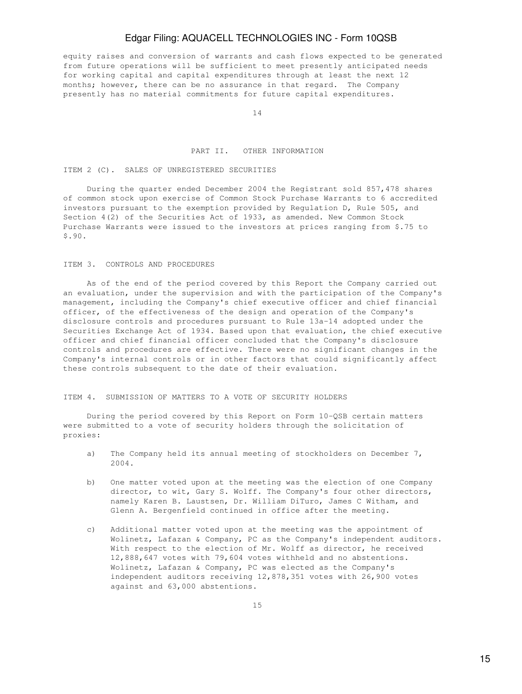equity raises and conversion of warrants and cash flows expected to be generated from future operations will be sufficient to meet presently anticipated needs for working capital and capital expenditures through at least the next 12 months; however, there can be no assurance in that regard. The Company presently has no material commitments for future capital expenditures.

14

### PART II. OTHER INFORMATION

### ITEM 2 (C). SALES OF UNREGISTERED SECURITIES

 During the quarter ended December 2004 the Registrant sold 857,478 shares of common stock upon exercise of Common Stock Purchase Warrants to 6 accredited investors pursuant to the exemption provided by Regulation D, Rule 505, and Section 4(2) of the Securities Act of 1933, as amended. New Common Stock Purchase Warrants were issued to the investors at prices ranging from \$.75 to \$.90.

### ITEM 3. CONTROLS AND PROCEDURES

 As of the end of the period covered by this Report the Company carried out an evaluation, under the supervision and with the participation of the Company's management, including the Company's chief executive officer and chief financial officer, of the effectiveness of the design and operation of the Company's disclosure controls and procedures pursuant to Rule 13a-14 adopted under the Securities Exchange Act of 1934. Based upon that evaluation, the chief executive officer and chief financial officer concluded that the Company's disclosure controls and procedures are effective. There were no significant changes in the Company's internal controls or in other factors that could significantly affect these controls subsequent to the date of their evaluation.

#### ITEM 4. SUBMISSION OF MATTERS TO A VOTE OF SECURITY HOLDERS

 During the period covered by this Report on Form 10-QSB certain matters were submitted to a vote of security holders through the solicitation of proxies:

- a) The Company held its annual meeting of stockholders on December 7, 2004.
- b) One matter voted upon at the meeting was the election of one Company director, to wit, Gary S. Wolff. The Company's four other directors, namely Karen B. Laustsen, Dr. William DiTuro, James C Witham, and Glenn A. Bergenfield continued in office after the meeting.
- c) Additional matter voted upon at the meeting was the appointment of Wolinetz, Lafazan & Company, PC as the Company's independent auditors. With respect to the election of Mr. Wolff as director, he received 12,888,647 votes with 79,604 votes withheld and no abstentions. Wolinetz, Lafazan & Company, PC was elected as the Company's independent auditors receiving 12,878,351 votes with 26,900 votes against and 63,000 abstentions.